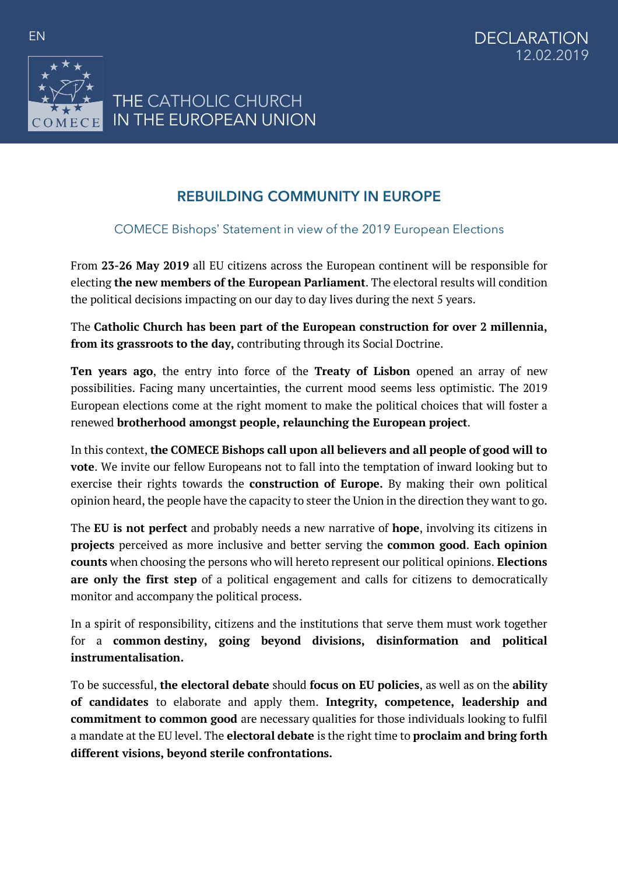

## **REBUILDING COMMUNITY IN EUROPE**

## COMECE Bishops' Statement in view of the 2019 European Elections

From **23-26 May 2019** all EU citizens across the European continent will be responsible for electing **the new members of the European Parliament**. The electoral results will condition the political decisions impacting on our day to day lives during the next 5 years.

The **Catholic Church has been part of the European construction for over 2 millennia, from its grassroots to the day,** contributing through its Social Doctrine.

**Ten years ago**, the entry into force of the **Treaty of Lisbon** opened an array of new possibilities. Facing many uncertainties, the current mood seems less optimistic. The 2019 European elections come at the right moment to make the political choices that will foster a renewed **brotherhood amongst people, relaunching the European project**.

In this context, **the COMECE Bishops call upon all believers and all people of good will to vote**. We invite our fellow Europeans not to fall into the temptation of inward looking but to exercise their rights towards the **construction of Europe.** By making their own political opinion heard, the people have the capacity to steer the Union in the direction they want to go.

The **EU is not perfect** and probably needs a new narrative of **hope**, involving its citizens in **projects** perceived as more inclusive and better serving the **common good**. **Each opinion counts** when choosing the persons who will hereto represent our political opinions. **Elections are only the first step** of a political engagement and calls for citizens to democratically monitor and accompany the political process.

In a spirit of responsibility, citizens and the institutions that serve them must work together for a **common destiny, going beyond divisions, disinformation and political instrumentalisation.**

To be successful, **the electoral debate** should **focus on EU policies**, as well as on the **ability of candidates** to elaborate and apply them. **Integrity, competence, leadership and commitment to common good** are necessary qualities for those individuals looking to fulfil a mandate at the EU level. The **electoral debate** is the right time to **proclaim and bring forth different visions, beyond sterile confrontations.**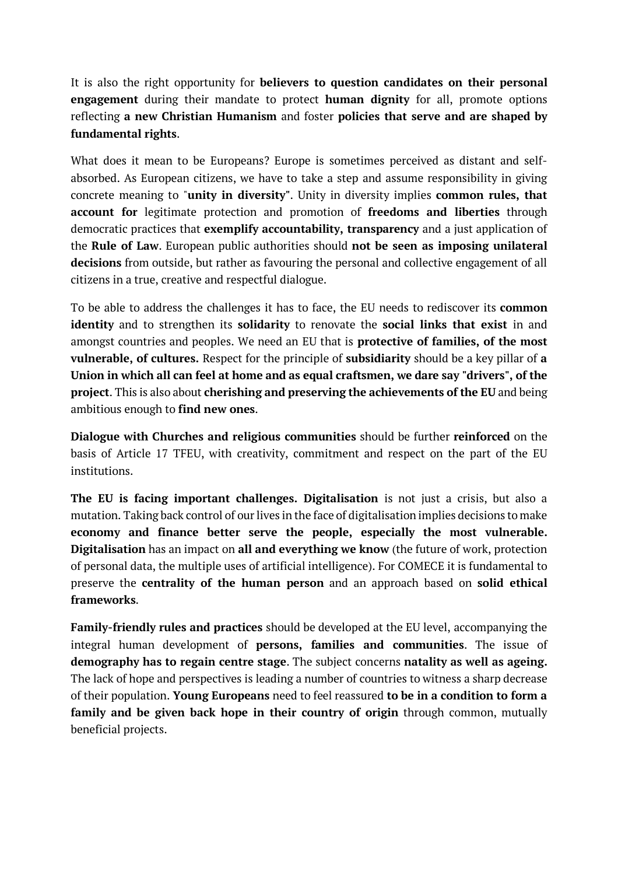It is also the right opportunity for **believers to question candidates on their personal engagement** during their mandate to protect **human dignity** for all, promote options reflecting **a new Christian Humanism** and foster **policies that serve and are shaped by fundamental rights**.

What does it mean to be Europeans? Europe is sometimes perceived as distant and selfabsorbed. As European citizens, we have to take a step and assume responsibility in giving concrete meaning to "**unity in diversity"**. Unity in diversity implies **common rules, that account for** legitimate protection and promotion of **freedoms and liberties** through democratic practices that **exemplify accountability, transparency** and a just application of the **Rule of Law**. European public authorities should **not be seen as imposing unilateral decisions** from outside, but rather as favouring the personal and collective engagement of all citizens in a true, creative and respectful dialogue.

To be able to address the challenges it has to face, the EU needs to rediscover its **common identity** and to strengthen its **solidarity** to renovate the **social links that exist** in and amongst countries and peoples. We need an EU that is **protective of families, of the most vulnerable, of cultures.** Respect for the principle of **subsidiarity** should be a key pillar of **a Union in which all can feel at home and as equal craftsmen, we dare say "drivers", of the project**. This is also about **cherishing and preserving the achievements of the EU** and being ambitious enough to **find new ones**.

**Dialogue with Churches and religious communities** should be further **reinforced** on the basis of Article 17 TFEU, with creativity, commitment and respect on the part of the EU institutions.

**The EU is facing important challenges. Digitalisation** is not just a crisis, but also a mutation. Taking back control of our lives in the face of digitalisation implies decisions to make **economy and finance better serve the people, especially the most vulnerable. Digitalisation** has an impact on **all and everything we know** (the future of work, protection of personal data, the multiple uses of artificial intelligence). For COMECE it is fundamental to preserve the **centrality of the human person** and an approach based on **solid ethical frameworks**.

**Family-friendly rules and practices** should be developed at the EU level, accompanying the integral human development of **persons, families and communities**. The issue of **demography has to regain centre stage**. The subject concerns **natality as well as ageing.** The lack of hope and perspectives is leading a number of countries to witness a sharp decrease of their population. **Young Europeans** need to feel reassured **to be in a condition to form a family and be given back hope in their country of origin** through common, mutually beneficial projects.